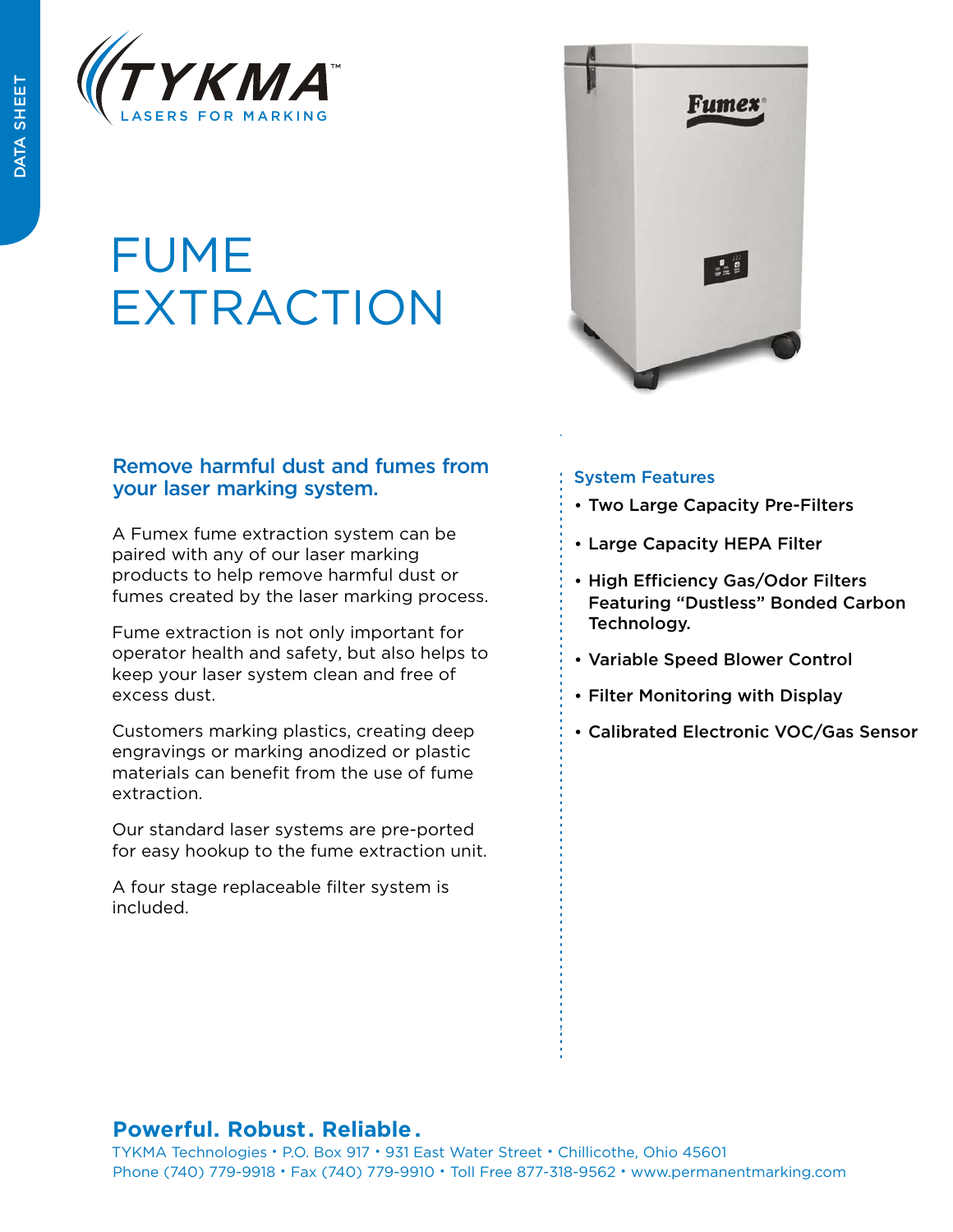

## FUME EXTRACTION

## Remove harmful dust and fumes from your laser marking system.

A Fumex fume extraction system can be paired with any of our laser marking products to help remove harmful dust or fumes created by the laser marking process.

Fume extraction is not only important for operator health and safety, but also helps to keep your laser system clean and free of excess dust.

Customers marking plastics, creating deep engravings or marking anodized or plastic materials can benefit from the use of fume extraction.

Our standard laser systems are pre-ported for easy hookup to the fume extraction unit.

A four stage replaceable filter system is included.



## System Features

- Two Large Capacity Pre-Filters
- Large Capacity HEPA Filter
- High Efficiency Gas/Odor Filters Featuring "Dustless" Bonded Carbon Technology.
- Variable Speed Blower Control -
- Filter Monitoring with Display -
- Calibrated Electronic VOC/Gas Sensor

## **Powerful. Robust. Reliable .**